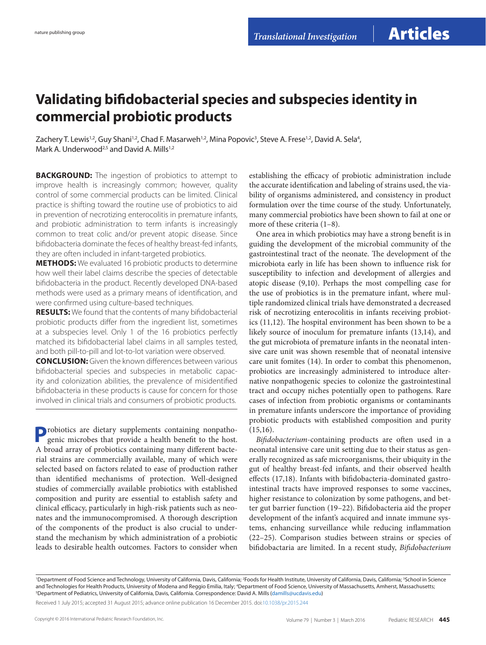## **Validating bifidobacterial species and subspecies identity in commercial probiotic products**

Zachery T. Lewis<sup>1,2</sup>, Guy Shani<sup>1,2</sup>, Chad F. Masarweh<sup>1,2</sup>, Mina Popovic<sup>3</sup>, Steve A. Frese<sup>1,2</sup>, David A. Sela<sup>4</sup>, Mark A. Underwood<sup>2,5</sup> and David A. Mills<sup>1,2</sup>

**BACKGROUND:** The ingestion of probiotics to attempt to improve health is increasingly common; however, quality control of some commercial products can be limited. Clinical practice is shifting toward the routine use of probiotics to aid in prevention of necrotizing enterocolitis in premature infants, and probiotic administration to term infants is increasingly common to treat colic and/or prevent atopic disease. Since bifidobacteria dominate the feces of healthy breast-fed infants, they are often included in infant-targeted probiotics.

**METHODS:** We evaluated 16 probiotic products to determine how well their label claims describe the species of detectable bifidobacteria in the product. Recently developed DNA-based methods were used as a primary means of identification, and were confirmed using culture-based techniques.

**RESULTS:** We found that the contents of many bifidobacterial probiotic products differ from the ingredient list, sometimes at a subspecies level. Only 1 of the 16 probiotics perfectly matched its bifidobacterial label claims in all samples tested, and both pill-to-pill and lot-to-lot variation were observed.

**Conclusion:** Given the known differences between various bifidobacterial species and subspecies in metabolic capacity and colonization abilities, the prevalence of misidentified bifidobacteria in these products is cause for concern for those involved in clinical trials and consumers of probiotic products.

**P**robiotics are dietary supplements containing nonpathogenic microbes that provide a health benefit to the host. A broad array of probiotics containing many different bacterial strains are commercially available, many of which were selected based on factors related to ease of production rather than identified mechanisms of protection. Well-designed studies of commercially available probiotics with established composition and purity are essential to establish safety and clinical efficacy, particularly in high-risk patients such as neonates and the immunocompromised. A thorough description of the components of the product is also crucial to understand the mechanism by which administration of a probiotic leads to desirable health outcomes. Factors to consider when

establishing the efficacy of probiotic administration include the accurate identification and labeling of strains used, the viability of organisms administered, and consistency in product formulation over the time course of the study. Unfortunately, many commercial probiotics have been shown to fail at one or more of these criteria (1–8).

One area in which probiotics may have a strong benefit is in guiding the development of the microbial community of the gastrointestinal tract of the neonate. The development of the microbiota early in life has been shown to influence risk for susceptibility to infection and development of allergies and atopic disease (9,10). Perhaps the most compelling case for the use of probiotics is in the premature infant, where multiple randomized clinical trials have demonstrated a decreased risk of necrotizing enterocolitis in infants receiving probiotics (11,12). The hospital environment has been shown to be a likely source of inoculum for premature infants (13,14), and the gut microbiota of premature infants in the neonatal intensive care unit was shown resemble that of neonatal intensive care unit fomites (14). In order to combat this phenomenon, probiotics are increasingly administered to introduce alternative nonpathogenic species to colonize the gastrointestinal tract and occupy niches potentially open to pathogens. Rare cases of infection from probiotic organisms or contaminants in premature infants underscore the importance of providing probiotic products with established composition and purity (15,16).

*Bifidobacterium*-containing products are often used in a neonatal intensive care unit setting due to their status as generally recognized as safe microorganisms, their ubiquity in the gut of healthy breast-fed infants, and their observed health effects (17,18). Infants with bifidobacteria-dominated gastrointestinal tracts have improved responses to some vaccines, higher resistance to colonization by some pathogens, and better gut barrier function (19–22). Bifidobacteria aid the proper development of the infant's acquired and innate immune systems, enhancing surveillance while reducing inflammation (22–25). Comparison studies between strains or species of bifidobactaria are limited. In a recent study, *Bifidobacterium* 

Received 1 July 2015; accepted 31 August 2015; advance online publication 16 December 2015. doi:[10.1038/pr.2015.244](http://www.nature.com/doifinder/10.1038/pr.2015.244)

<sup>&</sup>lt;sup>1</sup>Department of Food Science and Technology, University of California, Davis, California; <sup>2</sup>Foods for Health Institute, University of California, Davis, California; <sup>3</sup>School in Science and Technologies for Health Products, University of Modena and Reggio Emilia, Italy; "Department of Food Science, University of Massachusetts, Amherst, Massachusetts;<br><sup>5</sup>Department of Pediatrics University of California, D <sup>5</sup>Department of Pediatrics, University of California, Davis, California. Correspondence: David A. Mills [\(damills@ucdavis.edu](mailto:damills@ucdavis.edu))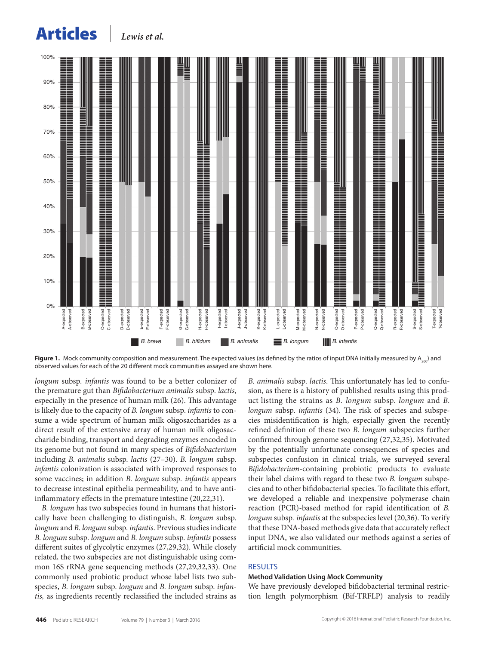# Articles *Lewis et al.*

<span id="page-1-0"></span>

**Figure 1.** Mock community composition and measurement. The expected values (as defined by the ratios of input DNA initially measured by A<sub>260</sub>) and observed values for each of the 20 different mock communities assayed are shown here.

*longum* subsp*. infantis* was found to be a better colonizer of the premature gut than *Bifidobacterium animalis* subsp. *lactis*, especially in the presence of human milk (26). This advantage is likely due to the capacity of *B. longum* subsp. *infantis* to consume a wide spectrum of human milk oligosaccharides as a direct result of the extensive array of human milk oligosaccharide binding, transport and degrading enzymes encoded in its genome but not found in many species of *Bifidobacterium* including *B. animalis* subsp. *lactis* (27–30). *B. longum* subsp. *infantis* colonization is associated with improved responses to some vaccines; in addition *B. longum* subsp*. infantis* appears to decrease intestinal epithelia permeability, and to have antiinflammatory effects in the premature intestine (20,22,31).

*B. longum* has two subspecies found in humans that historically have been challenging to distinguish, *B. longum* subsp. *longum* and *B. longum* subsp. *infantis*. Previous studies indicate *B. longum* subsp*. longum* and *B. longum* subsp. *infantis* possess different suites of glycolytic enzymes (27,29,32). While closely related, the two subspecies are not distinguishable using common 16S rRNA gene sequencing methods (27,29,32,33). One commonly used probiotic product whose label lists two subspecies, *B. longum* subsp. *longum* and *B. longum* subsp. *infantis,* as ingredients recently reclassified the included strains as *B. animalis* subsp. *lactis*. This unfortunately has led to confusion, as there is a history of published results using this product listing the strains as *B. longum* subsp. *longum* and *B. longum* subsp. *infantis* (34). The risk of species and subspecies misidentification is high, especially given the recently refined definition of these two *B. longum* subspecies further confirmed through genome sequencing (27,32,35). Motivated by the potentially unfortunate consequences of species and subspecies confusion in clinical trials, we surveyed several *Bifidobacterium*-containing probiotic products to evaluate their label claims with regard to these two *B. longum* subspecies and to other bifidobacterial species. To facilitate this effort, we developed a reliable and inexpensive polymerase chain reaction (PCR)-based method for rapid identification of *B. longum* subsp*. infantis* at the subspecies level (20,36). To verify that these DNA-based methods give data that accurately reflect input DNA, we also validated our methods against a series of artificial mock communities.

### RESULTS

#### **Method Validation Using Mock Community**

We have previously developed bifidobacterial terminal restriction length polymorphism (Bif-TRFLP) analysis to readily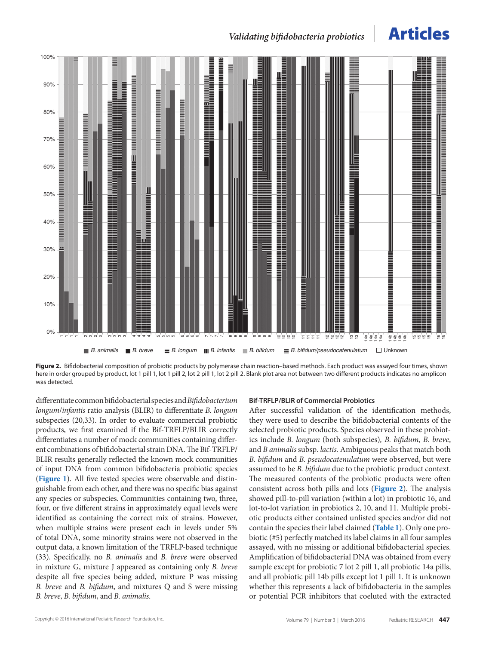## *Validating bifidobacteria probiotics* **Articles**

<span id="page-2-0"></span>

**Figure 2.** Bifidobacterial composition of probiotic products by polymerase chain reaction–based methods. Each product was assayed four times, shown here in order grouped by product, lot 1 pill 1, lot 1 pill 2, lot 2 pill 1, lot 2 pill 2. Blank plot area not between two different products indicates no amplicon was detected.

differentiate common bifidobacterial species and *Bifidobacterium longum*/*infantis* ratio analysis (BLIR) to differentiate *B. longum* subspecies (20,33). In order to evaluate commercial probiotic products, we first examined if the Bif-TRFLP/BLIR correctly differentiates a number of mock communities containing different combinations of bifidobacterial strain DNA. The Bif-TRFLP/ BLIR results generally reflected the known mock communities of input DNA from common bifidobacteria probiotic species (**[Figure 1](#page-1-0)**). All five tested species were observable and distinguishable from each other, and there was no specific bias against any species or subspecies. Communities containing two, three, four, or five different strains in approximately equal levels were identified as containing the correct mix of strains. However, when multiple strains were present each in levels under 5% of total DNA, some minority strains were not observed in the output data, a known limitation of the TRFLP-based technique (33). Specifically, no *B. animalis* and *B. breve* were observed in mixture G, mixture J appeared as containing only *B. breve* despite all five species being added, mixture P was missing *B. breve* and *B. bifidum*, and mixtures Q and S were missing *B. breve*, *B. bifidum*, and *B. animalis*.

#### **Bif-TRFLP/BLIR of Commercial Probiotics**

After successful validation of the identification methods, they were used to describe the bifidobacterial contents of the selected probiotic products. Species observed in these probiotics include *B. longum* (both subspecies)*, B. bifidum*, *B. breve*, and *B animalis* subsp*. lactis.* Ambiguous peaks that match both *B. bifidum* and *B. pseudocatenulatum* were observed, but were assumed to be *B. bifidum* due to the probiotic product context. The measured contents of the probiotic products were often consistent across both pills and lots (**[Figure 2](#page-2-0)**). The analysis showed pill-to-pill variation (within a lot) in probiotic 16, and lot-to-lot variation in probiotics 2, 10, and 11. Multiple probiotic products either contained unlisted species and/or did not contain the species their label claimed (**[Table 1](#page-3-0)**). Only one probiotic (#5) perfectly matched its label claims in all four samples assayed, with no missing or additional bifidobacterial species. Amplification of bifidobacterial DNA was obtained from every sample except for probiotic 7 lot 2 pill 1, all probiotic 14a pills, and all probiotic pill 14b pills except lot 1 pill 1. It is unknown whether this represents a lack of bifidobacteria in the samples or potential PCR inhibitors that coeluted with the extracted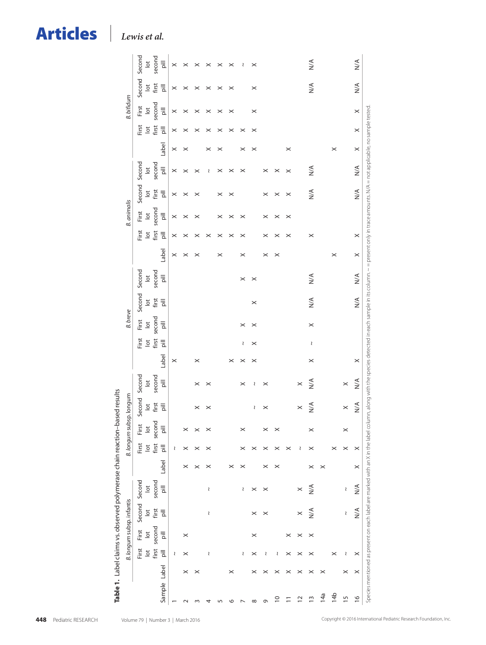| <b>Articles</b> |  |
|-----------------|--|
|                 |  |

Lewis et al.

<span id="page-3-0"></span>

| Table 1. Label claims vs. observed polymerase chain reaction-based results |   |                                    |                             |                              |                              |          |                                    |                                     |                                    |                              |          |                                    |                                     |                                    |                                                                                                                                                                                                                            |          |                                |                             |                              |                              |          |                             |                             |                              |                                                                      |
|----------------------------------------------------------------------------|---|------------------------------------|-----------------------------|------------------------------|------------------------------|----------|------------------------------------|-------------------------------------|------------------------------------|------------------------------|----------|------------------------------------|-------------------------------------|------------------------------------|----------------------------------------------------------------------------------------------------------------------------------------------------------------------------------------------------------------------------|----------|--------------------------------|-----------------------------|------------------------------|------------------------------|----------|-----------------------------|-----------------------------|------------------------------|----------------------------------------------------------------------|
|                                                                            |   |                                    |                             | B. longum subsp. infantis    |                              |          |                                    |                                     | B. longum subsp. longum            |                              |          |                                    | <b>B.</b> breve                     |                                    |                                                                                                                                                                                                                            |          |                                | <b>B.</b> animalis          |                              |                              |          |                             | <b>B.</b> bifidum           |                              |                                                                      |
|                                                                            |   | First<br>$\overline{\circ}$        | First<br>$\overline{\circ}$ | Second<br>$\overline{\circ}$ | Second<br>$\overline{\circ}$ |          | First<br>$\overline{\text{o}}$     | First<br>$\overline{\circ}$         | Second<br>$\overline{\phantom{a}}$ | Second<br>$\overline{\circ}$ |          | First<br>$\overline{\phantom{a}}$  | First<br>$\overline{\circ}$         | Second<br>$\overline{\circ}$       | Second<br>$\overline{\circ}$                                                                                                                                                                                               |          | First<br>$\overline{\text{o}}$ | First<br>$\overline{\circ}$ | Second<br>$\overline{\circ}$ | Second<br>$\frac{1}{\alpha}$ |          | First<br>$\overline{\circ}$ | First<br>$\overline{\circ}$ | Second<br>$\overline{\circ}$ | Second<br>$\frac{1}{\alpha}$                                         |
| Sample Label                                                               |   | first<br>$\overline{\overline{a}}$ | second<br>$\equiv$          | first<br>$\equiv$            | second<br>$\equiv$           | Label    | first<br>$\overline{\overline{a}}$ | second<br>$\overline{\overline{a}}$ | first<br>$\overline{\overline{a}}$ | second<br>$\equiv$           | Label    | first<br>$\overline{\overline{a}}$ | second<br>$\overline{\overline{a}}$ | first<br>$\overline{\overline{a}}$ | second<br>$\equiv$                                                                                                                                                                                                         | Label    | first<br>$\equiv$              | second<br>$\equiv$          | first<br>$\equiv$            | second<br>$\equiv$           | Label    | first<br>$\equiv$           | second<br>$\equiv$          | first<br>$\equiv$            | second<br>$\overline{\overline{\overline{\overline{\overline{D}}}}}$ |
|                                                                            |   | l                                  |                             |                              |                              |          | l                                  |                                     |                                    |                              | $\times$ |                                    |                                     |                                    |                                                                                                                                                                                                                            | $\times$ | $\times$                       | $\times$                    | $\times$                     | $\times$                     | $\times$ | $\times$                    | $\times$                    | $\times$                     | $\times$                                                             |
|                                                                            | × | ×                                  | $\times$                    |                              |                              | ×        | ×                                  |                                     |                                    |                              |          |                                    |                                     |                                    |                                                                                                                                                                                                                            | $\times$ | ×                              | $\times$                    | $\times$                     | ×                            | $\times$ | ×                           | ×                           | $\times$                     |                                                                      |
|                                                                            |   |                                    |                             |                              |                              |          | ×                                  |                                     | $\boldsymbol{\times}$              | $\boldsymbol{\times}$        | ×        |                                    |                                     |                                    |                                                                                                                                                                                                                            | ×        | $\times$                       | $\times$                    | $\times$                     | $\times$                     |          | ×                           | $\times$                    | ×                            | ×                                                                    |
|                                                                            |   | J                                  |                             | l                            | J                            |          | ×                                  |                                     | $\times$                           | ×                            |          |                                    |                                     |                                    |                                                                                                                                                                                                                            |          | $\times$                       |                             |                              | $\wr$                        | $\times$ | ×                           | $\times$                    | ×                            | $\times$                                                             |
|                                                                            |   |                                    |                             |                              |                              |          |                                    |                                     |                                    |                              |          |                                    |                                     |                                    |                                                                                                                                                                                                                            | $\times$ | $\times$                       | $\times$                    | $\times$                     | $\times$                     | ×        | $\times$                    | $\times$                    | $\times$                     | ×                                                                    |
|                                                                            | × |                                    |                             |                              |                              | ×        |                                    |                                     |                                    |                              | ×        |                                    |                                     |                                    |                                                                                                                                                                                                                            |          | $\times$                       | $\times$                    | ×                            | ×                            |          | ×                           | $\times$                    | $\times$                     | ×                                                                    |
|                                                                            |   | J                                  |                             |                              | S                            |          | ×                                  |                                     |                                    | ×                            | $\times$ | S                                  | ×                                   |                                    | $\times$                                                                                                                                                                                                                   | ×        | ×                              | $\times$                    |                              | ×                            | $\times$ | ×                           |                             |                              | J                                                                    |
| $^{\circ}$                                                                 |   | $\times$                           | ×                           |                              | $\times$                     |          |                                    |                                     | J                                  | ₹                            | $\times$ | ×                                  | ×                                   | $\times$                           | $\times$                                                                                                                                                                                                                   |          |                                |                             |                              |                              | ×        | ×                           | $\times$                    | ×                            | $\times$                                                             |
| Ō                                                                          | × | ₹                                  |                             | ×                            | $\times$                     |          | ×                                  |                                     | $\times$                           | $\times$                     |          |                                    |                                     |                                    |                                                                                                                                                                                                                            | $\times$ |                                | $\times$                    | $\boldsymbol{\times}$        | ×                            |          |                             |                             |                              |                                                                      |
| $\overline{\phantom{0}}$                                                   | × | J                                  |                             |                              |                              | ×        | ×                                  | ×                                   |                                    |                              |          |                                    |                                     |                                    |                                                                                                                                                                                                                            | ×        | ×                              | $\boldsymbol{\times}$       | $\boldsymbol{\times}$        | ×                            |          |                             |                             |                              |                                                                      |
|                                                                            |   | ×                                  |                             |                              |                              |          | $\boldsymbol{\times}$              |                                     |                                    |                              |          |                                    |                                     |                                    |                                                                                                                                                                                                                            |          | $\boldsymbol{\times}$          | ×                           | $\times$                     | ×                            | ×        |                             |                             |                              |                                                                      |
| $\bar{\mathbf{c}}$                                                         |   |                                    | ×                           | $\times$                     | $\times$                     |          | ₹                                  |                                     | $\times$                           | $\times$                     |          |                                    |                                     |                                    |                                                                                                                                                                                                                            |          |                                |                             |                              |                              |          |                             |                             |                              |                                                                      |
| $\tilde{=}$                                                                | × |                                    | ×                           | $\leq$                       | $\frac{4}{2}$                | ×        | ×                                  | ×                                   | $N^{\mathcal{A}}$                  | $\frac{4}{2}$                | ×        | S                                  | $\times$                            | $\leq$                             | $\leq$                                                                                                                                                                                                                     |          | ×                              |                             | $\leq$                       | $\leq$                       |          |                             |                             | $\frac{1}{2}$                | $\frac{4}{\sqrt{2}}$                                                 |
| 14a                                                                        | × |                                    |                             |                              |                              | $\times$ |                                    |                                     |                                    |                              |          |                                    |                                     |                                    |                                                                                                                                                                                                                            |          |                                |                             |                              |                              |          |                             |                             |                              |                                                                      |
| 14b                                                                        |   | $\times$                           |                             |                              |                              |          | $\times$                           |                                     |                                    |                              |          |                                    |                                     |                                    |                                                                                                                                                                                                                            | $\times$ |                                |                             |                              |                              | $\times$ |                             |                             |                              |                                                                      |
| $\overline{1}$                                                             | × | S                                  |                             | l                            | l                            |          | ×                                  | ×                                   | $\times$                           | $\times$                     |          |                                    |                                     |                                    |                                                                                                                                                                                                                            |          |                                |                             |                              |                              |          |                             |                             |                              |                                                                      |
| $\frac{8}{1}$                                                              | × | $\times$                           |                             | $\leq$                       | $\leq$                       | $\times$ | $\times$                           |                                     | $\frac{4}{\sqrt{2}}$               | $\frac{4}{\sqrt{2}}$         | $\times$ |                                    |                                     | $\frac{4}{\sqrt{2}}$               | $\frac{4}{2}$                                                                                                                                                                                                              | $\times$ | $\times$                       |                             | $\leq$                       | $\frac{1}{2}$                | $\times$ | $\times$                    | $\times$                    | $\frac{1}{2}$                | $\frac{4}{2}$                                                        |
|                                                                            |   |                                    |                             |                              |                              |          |                                    |                                     |                                    |                              |          |                                    |                                     |                                    | Species mentioned as present on each label are marked with an X in the label column, along with the species detected in each sample in its column. ~ present only in trace amounts. N/A = not applicable, no sample tested |          |                                |                             |                              |                              |          |                             |                             |                              |                                                                      |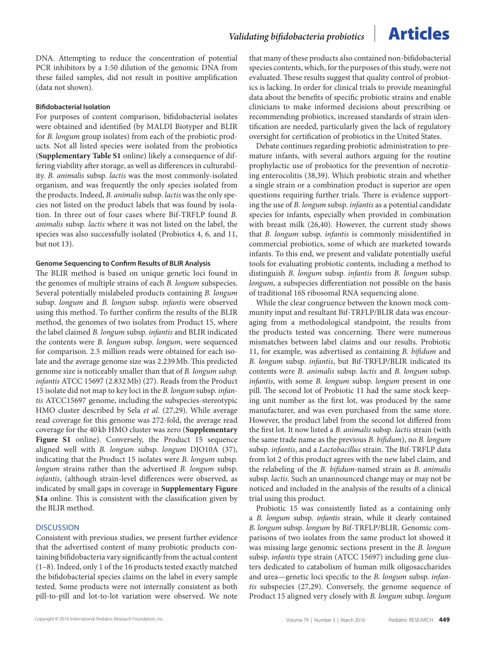DNA. Attempting to reduce the concentration of potential PCR inhibitors by a 1:50 dilution of the genomic DNA from these failed samples, did not result in positive amplification (data not shown).

#### **Bifidobacterial Isolation**

For purposes of content comparison, bifidobacterial isolates were obtained and identified (by MALDI Biotyper and BLIR for *B. longum* group isolates) from each of the probiotic products. Not all listed species were isolated from the probiotics (**Supplementary Table S1** online) likely a consequence of differing viability after storage, as well as differences in culturability. *B. animalis* subsp. *lactis* was the most commonly-isolated organism, and was frequently the only species isolated from the products. Indeed, *B. animalis* subsp. *lactis* was the only species not listed on the product labels that was found by isolation. In three out of four cases where Bif-TRFLP found *B. animalis* subsp. *lactis* where it was not listed on the label, the species was also successfully isolated (Probiotics 4, 6, and 11, but not 13).

#### **Genome Sequencing to Confirm Results of BLIR Analysis**

The BLIR method is based on unique genetic loci found in the genomes of multiple strains of each *B. longum* subspecies. Several potentially mislabeled products containing *B. longum* subsp. *longum* and *B. longum* subsp. *infantis* were observed using this method. To further confirm the results of the BLIR method, the genomes of two isolates from Product 15, where the label claimed *B. longum* subsp. *infantis* and BLIR indicated the contents were *B. longum* subsp. *longum*, were sequenced for comparison. 2.5 million reads were obtained for each isolate and the average genome size was 2.239Mb. This predicted genome size is noticeably smaller than that of *B. longum subsp. infantis* ATCC 15697 (2.832Mb) (27). Reads from the Product 15 isolate did not map to key loci in the *B. longum* subsp. *infantis* ATCC15697 genome, including the subspecies-stereotypic HMO cluster described by Sela *et al*. (27,29). While average read coverage for this genome was 272-fold, the average read coverage for the 40 kb HMO cluster was zero (**Supplementary**  Figure S1 online). Conversely, the Product 15 sequence aligned well with *B. longum* subsp. *longum* DJO10A (37), indicating that the Product 15 isolates were *B. longum* subsp. *longum* strains rather than the advertised *B. longum* subsp. *infantis*, (although strain-level differences were observed, as indicated by small gaps in coverage in **Supplementary Figure S1a** online. This is consistent with the classification given by the BLIR method.

### **DISCUSSION**

Consistent with previous studies, we present further evidence that the advertised content of many probiotic products containing bifidobacteria vary significantly from the actual content (1–8). Indeed, only 1 of the 16 products tested exactly matched the bifidobacterial species claims on the label in every sample tested. Some products were not internally consistent as both pill-to-pill and lot-to-lot variation were observed. We note

that many of these products also contained non-bifidobacterial species contents, which, for the purposes of this study, were not evaluated. These results suggest that quality control of probiotics is lacking. In order for clinical trials to provide meaningful data about the benefits of specific probiotic strains and enable clinicians to make informed decisions about prescribing or recommending probiotics, increased standards of strain identification are needed, particularly given the lack of regulatory oversight for certification of probiotics in the United States.

Debate continues regarding probiotic administration to premature infants, with several authors arguing for the routine prophylactic use of probiotics for the prevention of necrotizing enterocolitis (38,39). Which probiotic strain and whether a single strain or a combination product is superior are open questions requiring further trials. There is evidence supporting the use of *B. longum* subsp. *infantis* as a potential candidate species for infants, especially when provided in combination with breast milk (26,40). However, the current study shows that *B. longum* subsp. *infantis* is commonly misidentified in commercial probiotics, some of which are marketed towards infants. To this end, we present and validate potentially useful tools for evaluating probiotic contents, including a method to distinguish *B. longum* subsp. *infantis* from *B. longum* subsp. *longum*, a subspecies differentiation not possible on the basis of traditional 16S ribosomal RNA sequencing alone.

While the clear congruence between the known mock community input and resultant Bif-TRFLP/BLIR data was encouraging from a methodological standpoint, the results from the products tested was concerning. There were numerous mismatches between label claims and our results. Probiotic 11, for example, was advertised as containing *B. bifidum* and *B. longum* subsp. *infantis*, but Bif-TRFLP/BLIR indicated its contents were *B. animalis* subsp. *lactis* and *B. longum* subsp. *infantis*, with some *B. longum* subsp. *longum* present in one pill. The second lot of Probiotic 11 had the same stock keeping unit number as the first lot, was produced by the same manufacturer, and was even purchased from the same store. However, the product label from the second lot differed from the first lot. It now listed a *B. animalis* subsp. *lactis* strain (with the same trade name as the previous *B. bifidum*), no *B. longum* subsp. *infantis*, and a *Lactobacillus* strain. The Bif-TRFLP data from lot 2 of this product agrees with the new label claim, and the relabeling of the *B. bifidum-*named strain as *B. animalis* subsp. *lactis.* Such an unannounced change may or may not be noticed and included in the analysis of the results of a clinical trial using this product.

Probiotic 15 was consistently listed as a containing only a *B. longum* subsp. *infantis* strain, while it clearly contained *B. longum* subsp. *longum* by Bif-TRFLP/BLIR. Genomic comparisons of two isolates from the same product lot showed it was missing large genomic sections present in the *B. longum* subsp. *infantis* type strain (ATCC 15697) including gene clusters dedicated to catabolism of human milk oligosaccharides and urea—genetic loci specific to the *B. longum* subsp. *infantis* subspecies (27,29). Conversely, the genome sequence of Product 15 aligned very closely with *B. longum* subsp. *longum*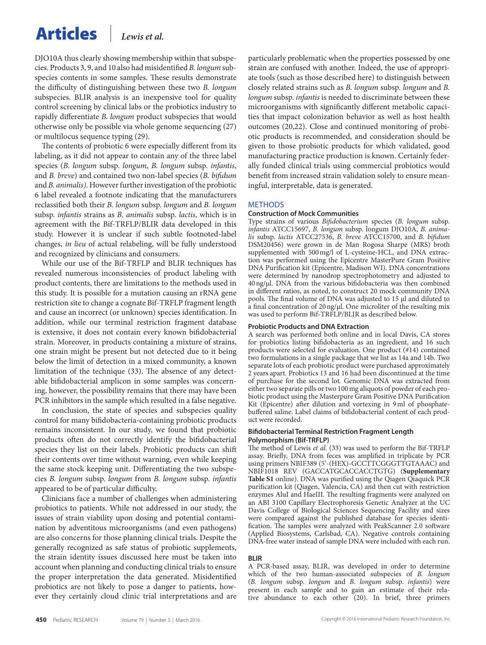# Articles *Lewis et al.*

DJO10A thus clearly showing membership within that subspecies. Products 3, 9, and 10 also had misidentified *B. longum* subspecies contents in some samples. These results demonstrate the difficulty of distinguishing between these two *B. longum* subspecies. BLIR analysis is an inexpensive tool for quality control screening by clinical labs or the probiotics industry to rapidly differentiate *B. longum* product subspecies that would otherwise only be possible via whole genome sequencing (27) or multilocus sequence typing (29).

The contents of probiotic 6 were especially different from its labeling, as it did not appear to contain any of the three label species (*B. longum* subsp. *longum*, *B. longum* subsp. *infantis*, and *B. breve*) and contained two non-label species (*B. bifidum* and *B. animalis)*. However further investigation of the probiotic 6 label revealed a footnote indicating that the manufacturers reclassified both their *B. longum* subsp. *longum* and *B. longum* subsp. *infantis* strains as *B. animalis* subsp. *lactis*, which is in agreement with the Bif-TRFLP/BLIR data developed in this study. However it is unclear if such subtle footnoted-label changes, *in lieu* of actual relabeling, will be fully understood and recognized by clinicians and consumers.

While our use of the Bif-TRFLP and BLIR techniques has revealed numerous inconsistencies of product labeling with product contents, there are limitations to the methods used in this study. It is possible for a mutation causing an rRNA gene restriction site to change a cognate Bif-TRFLP fragment length and cause an incorrect (or unknown) species identification. In addition, while our terminal restriction fragment database is extensive, it does not contain every known bifidobacterial strain. Moreover, in products containing a mixture of strains, one strain might be present but not detected due to it being below the limit of detection in a mixed community, a known limitation of the technique (33). The absence of any detectable bifidobacterial amplicon in some samples was concerning, however, the possibility remains that there may have been PCR inhibitors in the sample which resulted in a false negative.

In conclusion, the state of species and subspecies quality control for many bifidobacteria-containing probiotic products remains inconsistent. In our study, we found that probiotic products often do not correctly identify the bifidobacterial species they list on their labels. Probiotic products can shift their contents over time without warning, even while keeping the same stock keeping unit. Differentiating the two subspecies *B. longum* subsp. *longum* from *B. longum* subsp. *infantis* appeared to be of particular difficulty.

Clinicians face a number of challenges when administering probiotics to patients. While not addressed in our study, the issues of strain viability upon dosing and potential contamination by adventitous microorganisms (and even pathogens) are also concerns for those planning clinical trials. Despite the generally recognized as safe status of probiotic supplements, the strain identity issues discussed here must be taken into account when planning and conducting clinical trials to ensure the proper interpretation the data generated. Misidentified probiotics are not likely to pose a danger to patients, however they certainly cloud clinic trial interpretations and are particularly problematic when the properties possessed by one strain are confused with another. Indeed, the use of appropriate tools (such as those described here) to distinguish between closely related strains such as *B. longum* subsp. *longum* and *B. longum* subsp. *infantis* is needed to discriminate between these microorganisms with significantly different metabolic capacities that impact colonization behavior as well as host health outcomes (20,22). Close and continued monitoring of probiotic products is recommended, and consideration should be given to those probiotic products for which validated, good manufacturing practice production is known. Certainly federally funded clinical trials using commercial probiotics would benefit from increased strain validation solely to ensure meaningful, interpretable, data is generated.

### **METHODS**

#### **Construction of Mock Communities**

Type strains of various *Bifidobacterium* species (*B. longum* subsp. *infantis* ATCC15697, *B. longum* subsp. longum DJO10A, *B. animalis* subsp. *lactis* ATCC27536, *B. breve* ATCC15700, and *B. bifidum* DSM20456) were grown in de Man Rogosa Sharpe (MRS) broth supplemented with 500mg/l of L-cysteine-HCL, and DNA extraction was performed using the Epicentre MasterPure Gram Positive DNA Purification kit (Epicentre, Madison WI). DNA concentrations were determined by nanodrop spectrophotometry and adjusted to 40ng/μl. DNA from the various bifidobacteria was then combined in different ratios, as noted, to construct 20 mock community DNA pools. The final volume of DNA was adjusted to 15 μl and diluted to a final concentration of 20ng/μl. One microliter of the resulting mix was used to perform Bif-TRFLP/BLIR as described below.

#### **Probiotic Products and DNA Extraction**

A search was performed both online and in local Davis, CA stores for probiotics listing bifidobacteria as an ingredient, and 16 such products were selected for evaluation. One product (#14) contained two formulations in a single package that we list as 14a and 14b. Two separate lots of each probiotic product were purchased approximately 2 years apart. Probiotics 13 and 16 had been discontinued at the time of purchase for the second lot. Genomic DNA was extracted from either two separate pills or two 100mg aliquots of powder of each probiotic product using the Masterpure Gram Positive DNA Purification Kit (Epicentre) after dilution and vortexing in 9ml of phosphatebuffered saline. Label claims of bifidobacterial content of each product were recorded.

#### **Bifidobacterial Terminal Restriction Fragment Length Polymorphism (Bif-TRFLP)**

The method of Lewis *et al*. (33) was used to perform the Bif-TRFLP assay. Briefly, DNA from feces was amplified in triplicate by PCR using primers NBIF389 (5'-(HEX)-GCCTTCGGGTTGTAAAC) and NBIF1018 REV (GACCATGCACCACCTGTG) (**Supplementary Table S1** online). DNA was purified using the Qiagen Qiaquick PCR purification kit (Qiagen, Valencia, CA) and then cut with restriction enzymes AluI and HaeIII. The resulting fragments were analyzed on an ABI 3100 Capillary Electrophoresis Genetic Analyzer at the UC Davis College of Biological Sciences Sequencing Facility and sizes were compared against the published database for species identification. The samples were analyzed with PeakScanner 2.0 software (Applied Biosystems, Carlsbad, CA). Negative controls containing DNA-free water instead of sample DNA were included with each run.

#### **BLIR**

A PCR-based assay, BLIR, was developed in order to determine which of the two human-associated subspecies of *B. longum* (*B. longum* subsp. *longum* and *B. longum* subsp. *infantis*) were present in each sample and to gain an estimate of their relative abundance to each other (20). In brief, three primers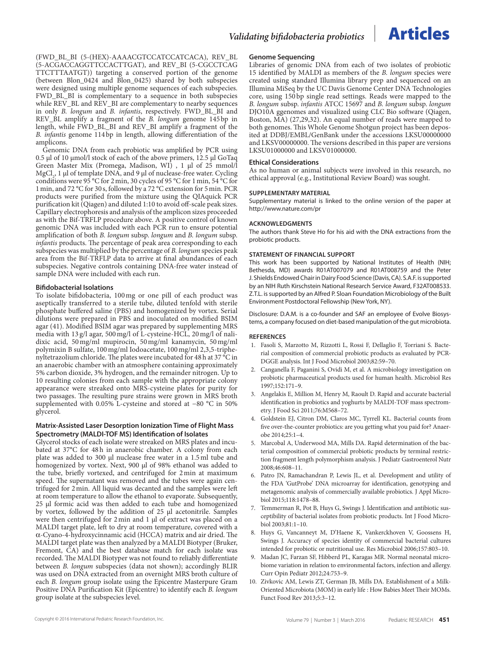

(FWD\_BL\_BI (5-(HEX)-AAAACGTCCATCCATCACA), REV\_BL (5-ACGACCAGGTTCCACTTGAT), and REV\_BI (5-CGCCTCAG TTCTTTAATGT)) targeting a conserved portion of the genome (between Blon\_0424 and Blon\_0425) shared by both subspecies were designed using multiple genome sequences of each subspecies. FWD\_BL\_BI is complementary to a sequence in both subspecies while REV\_BL and REV\_BI are complementary to nearby sequences in only *B. longum* and *B. infantis*, respectively. FWD\_BL\_BI and REV\_BL amplify a fragment of the *B. longum* genome 145bp in length, while FWD\_BL\_BI and REV\_BI amplify a fragment of the *B. infantis* genome 114bp in length, allowing differentiation of the amplicons.

Genomic DNA from each probiotic was amplified by PCR using 0.5 μl of 10 μmol/l stock of each of the above primers, 12.5 μl GoTaq Green Master Mix (Promega, Madison, WI) , 1 μl of 25 mmol/l MgCl<sub>2</sub>, 1 μl of template DNA, and 9 μl of nuclease-free water. Cycling conditions were 95 °C for 2min, 30 cycles of 95 °C for 1min, 54 °C for 1min, and 72 °C for 30 s, followed by a 72 °C extension for 5min. PCR products were purified from the mixture using the QIAquick PCR purification kit (Qiagen) and diluted 1:10 to avoid off-scale peak sizes. Capillary electrophoresis and analysis of the amplicon sizes proceeded as with the Bif-TRFLP procedure above. A positive control of known genomic DNA was included with each PCR run to ensure potential amplification of both *B. longum* subsp. *longum* and *B. longum* subsp. *infantis* products. The percentage of peak area corresponding to each subspecies was multiplied by the percentage of *B. longum* species peak area from the Bif-TRFLP data to arrive at final abundances of each subspecies. Negative controls containing DNA-free water instead of sample DNA were included with each run.

#### **Bifidobacterial Isolations**

To isolate bifidobacteria, 100mg or one pill of each product was aseptically transferred to a sterile tube, diluted tenfold with sterile phosphate buffered saline (PBS) and homogenized by vortex. Serial dilutions were prepared in PBS and inoculated on modified BSIM agar (41). Modified BSIM agar was prepared by supplementing MRS media with 13 g/l agar, 500mg/l of L-cysteine-HCL, 20mg/l of nalidixic acid, 50mg/ml mupirocin, 50mg/ml kanamycin, 50mg/ml polymixin B sulfate, 100mg/ml Iodoacetate, 100mg/ml 2,3,5-triphenyltetrazolium chloride. The plates were incubated for 48h at 37 °C in an anaerobic chamber with an atmosphere containing approximately 5% carbon dioxide, 3% hydrogen, and the remainder nitrogen. Up to 10 resulting colonies from each sample with the appropriate colony appearance were streaked onto MRS-cysteine plates for purity for two passages. The resulting pure strains were grown in MRS broth supplemented with 0.05% L-cysteine and stored at −80 °C in 50% glycerol.

#### **Matrix-Assisted Laser Desorption Ionization Time of Flight Mass Spectrometry (MALDI-TOF MS) Identification of Isolates**

Glycerol stocks of each isolate were streaked on MRS plates and incubated at 37**°**C for 48h in anaerobic chamber. A colony from each plate was added to 300 μl nuclease free water in a 1.5ml tube and homogenized by vortex. Next, 900 μl of 98% ethanol was added to the tube, briefly vortexed, and centrifuged for 2min at maximum speed. The supernatant was removed and the tubes were again centrifuged for 2min. All liquid was decanted and the samples were left at room temperature to allow the ethanol to evaporate. Subsequently, 25 μl formic acid was then added to each tube and homogenized by vortex, followed by the addition of 25 µl acetonitrile. Samples were then centrifuged for 2min and 1 μl of extract was placed on a MALDI target plate, left to dry at room temperature, covered with a α-Cyano-4-hydroxycinnamic acid (HCCA) matrix and air dried. The MALDI target plate was then analyzed by a MALDI Biotyper (Bruker, Fremont,  $\tilde{CA}$ ) and the best database match for each isolate was recorded. The MALDI Biotyper was not found to reliably differentiate between *B. longum* subspecies (data not shown); accordingly BLIR was used on DNA extracted from an overnight MRS broth culture of each *B. longum* group isolate using the Epicentre Masterpure Gram Positive DNA Purification Kit (Epicentre) to identify each *B. longum* group isolate at the subspecies level.

#### **Genome Sequencing**

Libraries of genomic DNA from each of two isolates of probiotic 15 identified by MALDI as members of the *B. longum* species were created using standard Illumina library prep and sequenced on an Illumina MiSeq by the UC Davis Genome Center DNA Technologies core, using 150 bp single read settings. Reads were mapped to the *B. longum* subsp. *infantis* ATCC 15697 and *B. longum* subsp. *longum* DJO10A ggenomes and visualized using CLC Bio software (Qiagen, Boston, MA) (27,29,32). An equal number of reads were mapped to both genomes. This Whole Genome Shotgun project has been deposited at DDBJ/EMBL/GenBank under the accessions LKSU00000000 and LKSV00000000. The versions described in this paper are versions LKSU01000000 and LKSV01000000.

#### **Ethical Considerations**

As no human or animal subjects were involved in this research, no ethical approval (e.g., Institutional Review Board) was sought.

#### **SUPPLEMENTARY MATERIAL**

Supplementary material is linked to the online version of the paper at <http://www.nature.com/pr>

#### **ACKNOWLEDGMENTS**

The authors thank Steve Ho for his aid with the DNA extractions from the probiotic products.

#### **STATEMENT OF FINANCIAL SUPPORT**

This work has been supported by National Institutes of Health (NIH; Bethesda, MD) awards R01AT007079 and R01AT008759 and the Peter J. Shields Endowed Chair in Dairy Food Science (Davis, CA). S.A.F. is supported by an NIH Ruth Kirschstein National Research Service Award, F32AT008533. Z.T.L. is supported by an Alfred P. Sloan Foundation Microbiology of the Built Environment Postdoctoral Fellowship (New York, NY).

Disclosure: D.A.M. is a co-founder and SAF an employee of Evolve Biosystems, a company focused on diet-based manipulation of the gut microbiota.

#### **References**

- 1. Fasoli S, Marzotto M, Rizzotti L, Rossi F, Dellaglio F, Torriani S. Bacterial composition of commercial probiotic products as evaluated by PCR-DGGE analysis. Int J Food Microbiol 2003;82:59–70.
- 2. Canganella F, Paganini S, Ovidi M, et al. A microbiology investigation on probiotic pharmaceutical products used for human health. Microbiol Res 1997;152:171–9.
- 3. Angelakis E, Million M, Henry M, Raoult D. Rapid and accurate bacterial identification in probiotics and yoghurts by MALDI-TOF mass spectrometry. J Food Sci 2011;76:M568–72.
- 4. Goldstein EJ, Citron DM, Claros MC, Tyrrell KL. Bacterial counts from five over-the-counter probiotics: are you getting what you paid for? Anaerobe 2014;25:1–4.
- 5. Marcobal A, Underwood MA, Mills DA. Rapid determination of the bacterial composition of commercial probiotic products by terminal restriction fragment length polymorphism analysis. J Pediatr Gastroenterol Nutr 2008;46:608–11.
- 6. Patro JN, Ramachandran P, Lewis JL, et al. Development and utility of the FDA 'GutProbe' DNA microarray for identification, genotyping and metagenomic analysis of commercially available probiotics. J Appl Microbiol 2015;118:1478–88.
- 7. Temmerman R, Pot B, Huys G, Swings J. Identification and antibiotic susceptibility of bacterial isolates from probiotic products. Int J Food Microbiol 2003;81:1–10.
- 8. Huys G, Vancanneyt M, D'Haene K, Vankerckhoven V, Goossens H, Swings J. Accuracy of species identity of commercial bacterial cultures intended for probiotic or nutritional use. Res Microbiol 2006;157:803–10.
- 9. Madan JC, Farzan SF, Hibberd PL, Karagas MR. Normal neonatal microbiome variation in relation to environmental factors, infection and allergy. Curr Opin Pediatr 2012;24:753–9.
- 10. Zivkovic AM, Lewis ZT, German JB, Mills DA. Establishment of a Milk-Oriented Microbiota (MOM) in early life : How Babies Meet Their MOMs. Funct Food Rev 2013;5:3–12.